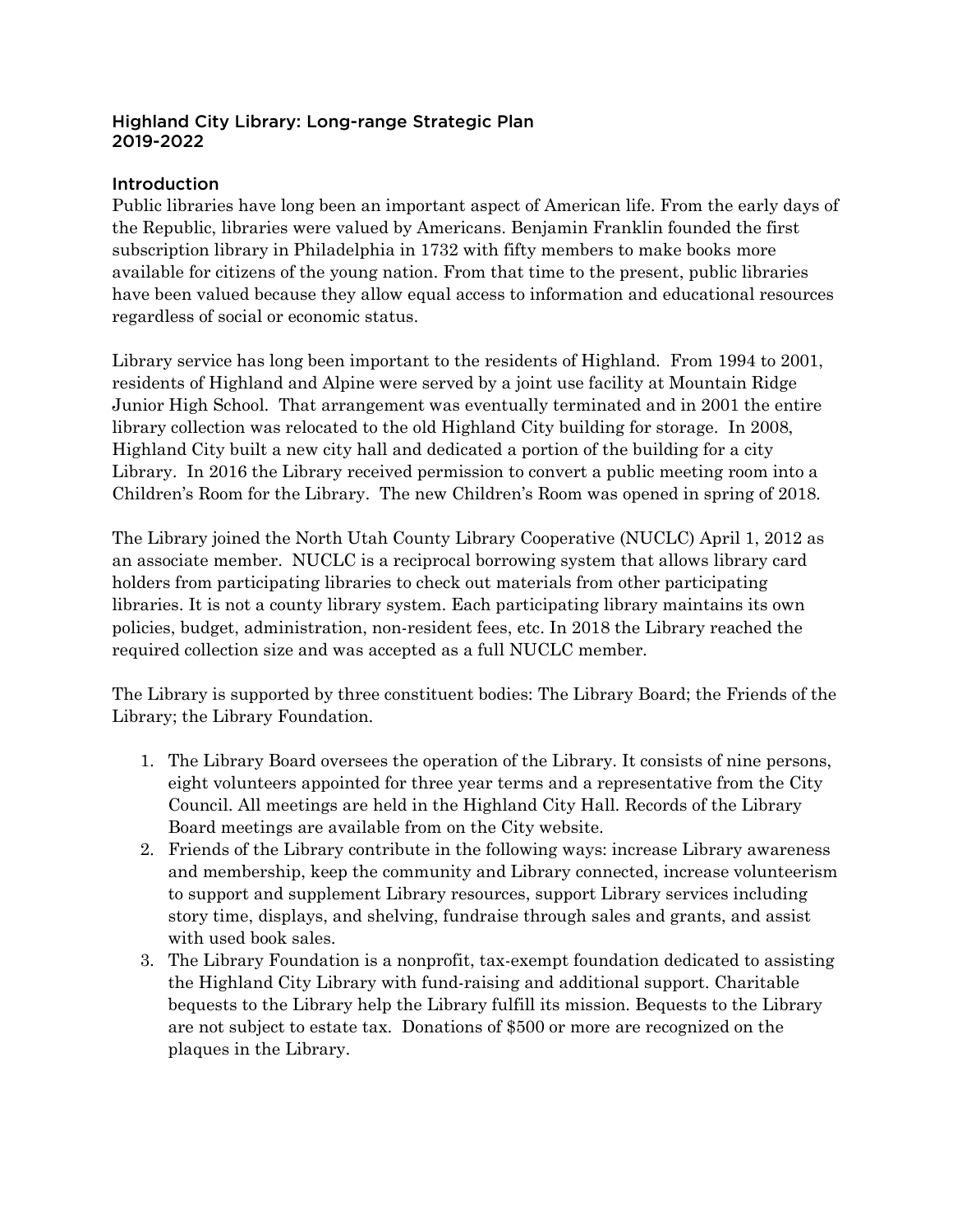#### Highland City Library: Long-range Strategic Plan 2019-2022

### **Introduction**

Public libraries have long been an important aspect of American life. From the early days of the Republic, libraries were valued by Americans. Benjamin Franklin founded the first subscription library in Philadelphia in 1732 with fifty members to make books more available for citizens of the young nation. From that time to the present, public libraries have been valued because they allow equal access to information and educational resources regardless of social or economic status.

Library service has long been important to the residents of Highland. From 1994 to 2001, residents of Highland and Alpine were served by a joint use facility at Mountain Ridge Junior High School. That arrangement was eventually terminated and in 2001 the entire library collection was relocated to the old Highland City building for storage. In 2008, Highland City built a new city hall and dedicated a portion of the building for a city Library. In 2016 the Library received permission to convert a public meeting room into a Children's Room for the Library. The new Children's Room was opened in spring of 2018.

The Library joined the North Utah County Library Cooperative (NUCLC) April 1, 2012 as an associate member. NUCLC is a reciprocal borrowing system that allows library card holders from participating libraries to check out materials from other participating libraries. It is not a county library system. Each participating library maintains its own policies, budget, administration, non-resident fees, etc. In 2018 the Library reached the required collection size and was accepted as a full NUCLC member.

The Library is supported by three constituent bodies: The Library Board; the Friends of the Library; the Library Foundation.

- 1. The Library Board oversees the operation of the Library. It consists of nine persons, eight volunteers appointed for three year terms and a representative from the City Council. All meetings are held in the Highland City Hall. Records of the Library Board meetings are available from on the City website.
- 2. Friends of the Library contribute in the following ways: increase Library awareness and membership, keep the community and Library connected, increase volunteerism to support and supplement Library resources, support Library services including story time, displays, and shelving, fundraise through sales and grants, and assist with used book sales.
- 3. The Library Foundation is a nonprofit, tax-exempt foundation dedicated to assisting the Highland City Library with fund-raising and additional support. Charitable bequests to the Library help the Library fulfill its mission. Bequests to the Library are not subject to estate tax. Donations of \$500 or more are recognized on the plaques in the Library.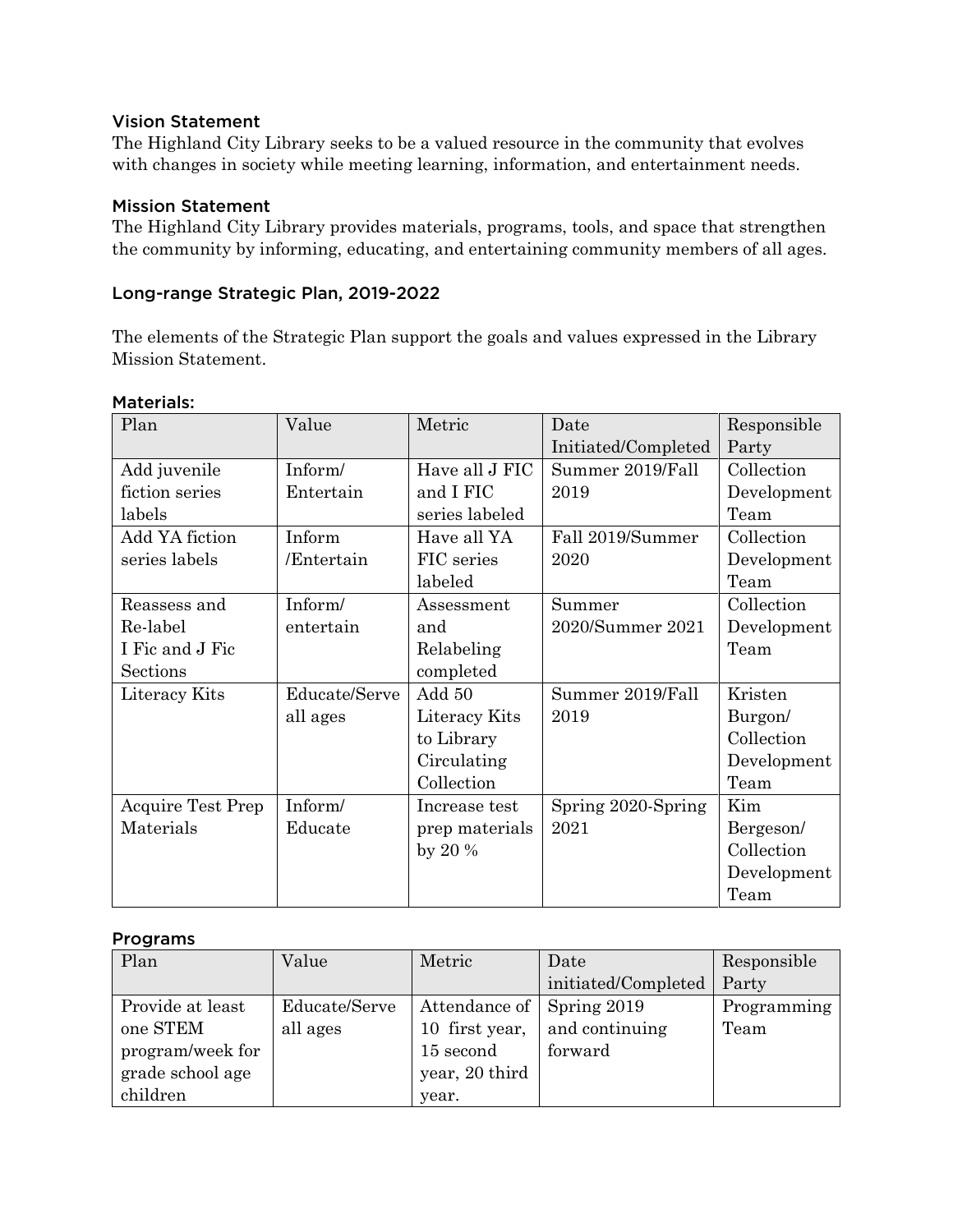#### Vision Statement

The Highland City Library seeks to be a valued resource in the community that evolves with changes in society while meeting learning, information, and entertainment needs.

#### Mission Statement

The Highland City Library provides materials, programs, tools, and space that strengthen the community by informing, educating, and entertaining community members of all ages.

#### Long-range Strategic Plan, 2019-2022

The elements of the Strategic Plan support the goals and values expressed in the Library Mission Statement.

| Plan                     | Value         | Metric         | Date                | Responsible |
|--------------------------|---------------|----------------|---------------------|-------------|
|                          |               |                | Initiated/Completed | Party       |
| Add juvenile             | Inform/       | Have all J FIC | Summer 2019/Fall    | Collection  |
| fiction series           | Entertain     | and I FIC      | 2019                | Development |
| labels                   |               | series labeled |                     | Team        |
| Add YA fiction           | Inform        | Have all YA    | Fall 2019/Summer    | Collection  |
| series labels            | /Entertain    | FIC series     | 2020                | Development |
|                          |               | labeled        |                     | Team        |
| Reassess and             | Inform/       | Assessment     | Summer              | Collection  |
| Re-label                 | entertain     | and            | 2020/Summer 2021    | Development |
| I Fic and J Fic          |               | Relabeling     |                     | Team        |
| Sections                 |               | completed      |                     |             |
| Literacy Kits            | Educate/Serve | Add 50         | Summer 2019/Fall    | Kristen     |
|                          | all ages      | Literacy Kits  | 2019                | Burgon/     |
|                          |               | to Library     |                     | Collection  |
|                          |               | Circulating    |                     | Development |
|                          |               | Collection     |                     | Team        |
| <b>Acquire Test Prep</b> | Inform/       | Increase test  | Spring 2020-Spring  | Kim         |
| Materials                | Educate       | prep materials | 2021                | Bergeson/   |
|                          |               | by $20\%$      |                     | Collection  |
|                          |               |                |                     | Development |
|                          |               |                |                     | Team        |

#### Materials:

#### Programs

| Plan             | Value         | Metric         | Date                | Responsible |
|------------------|---------------|----------------|---------------------|-------------|
|                  |               |                | initiated/Completed | Party       |
| Provide at least | Educate/Serve | Attendance of  | Spring 2019         | Programming |
| one STEM         | all ages      | 10 first year, | and continuing      | Team        |
| program/week for |               | 15 second      | forward             |             |
| grade school age |               | year, 20 third |                     |             |
| children         |               | year.          |                     |             |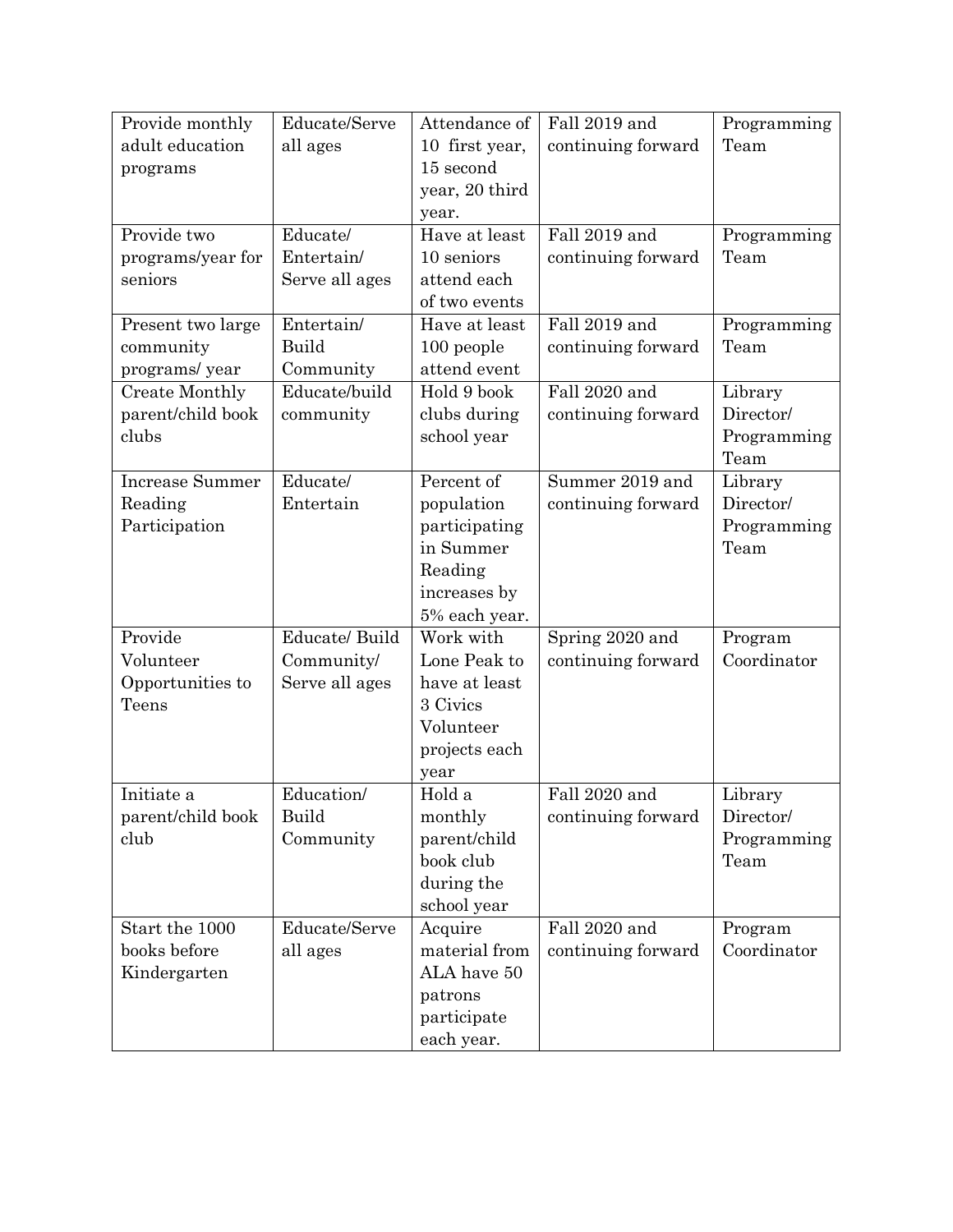| Provide monthly        | Educate/Serve  | Attendance of              | Fall 2019 and      | Programming         |
|------------------------|----------------|----------------------------|--------------------|---------------------|
| adult education        | all ages       | 10 first year,             | continuing forward | Team                |
| programs               |                | 15 second                  |                    |                     |
|                        |                | year, 20 third             |                    |                     |
|                        |                | year.                      |                    |                     |
| Provide two            | Educate/       | Have at least              | Fall 2019 and      | Programming         |
| programs/year for      | Entertain/     | 10 seniors                 | continuing forward | Team                |
| seniors                | Serve all ages | attend each                |                    |                     |
|                        |                | of two events              |                    |                     |
| Present two large      | Entertain/     | Have at least              | Fall 2019 and      | Programming         |
| community              | Build          | 100 people                 | continuing forward | Team                |
| programs/ year         | Community      | attend event               |                    |                     |
| <b>Create Monthly</b>  | Educate/build  | Hold 9 book                | Fall 2020 and      | Library             |
| parent/child book      | community      | clubs during               | continuing forward | Director/           |
| clubs                  |                | school year                |                    | Programming         |
|                        |                |                            |                    | Team                |
| <b>Increase Summer</b> | Educate/       | Percent of                 | Summer 2019 and    | Library             |
| Reading                | Entertain      | population                 | continuing forward | Director/           |
| Participation          |                | participating<br>in Summer |                    | Programming<br>Team |
|                        |                |                            |                    |                     |
|                        |                | Reading<br>increases by    |                    |                     |
|                        |                | 5% each year.              |                    |                     |
| Provide                | Educate/ Build | Work with                  | Spring 2020 and    | Program             |
| Volunteer              | Community/     | Lone Peak to               | continuing forward | Coordinator         |
| Opportunities to       | Serve all ages | have at least              |                    |                     |
| Teens                  |                | 3 Civics                   |                    |                     |
|                        |                | Volunteer                  |                    |                     |
|                        |                | projects each              |                    |                     |
|                        |                | year                       |                    |                     |
| Initiate a             | Education/     | Hold a                     | Fall 2020 and      | Library             |
| parent/child book      | Build          | monthly                    | continuing forward | Director/           |
| club                   | Community      | parent/child               |                    | Programming         |
|                        |                | book club                  |                    | Team                |
|                        |                | during the                 |                    |                     |
|                        |                | school year                |                    |                     |
| Start the 1000         | Educate/Serve  | Acquire                    | Fall 2020 and      | Program             |
| books before           | all ages       | material from              | continuing forward | Coordinator         |
| Kindergarten           |                | ALA have 50                |                    |                     |
|                        |                | patrons                    |                    |                     |
|                        |                | participate                |                    |                     |
|                        |                | each year.                 |                    |                     |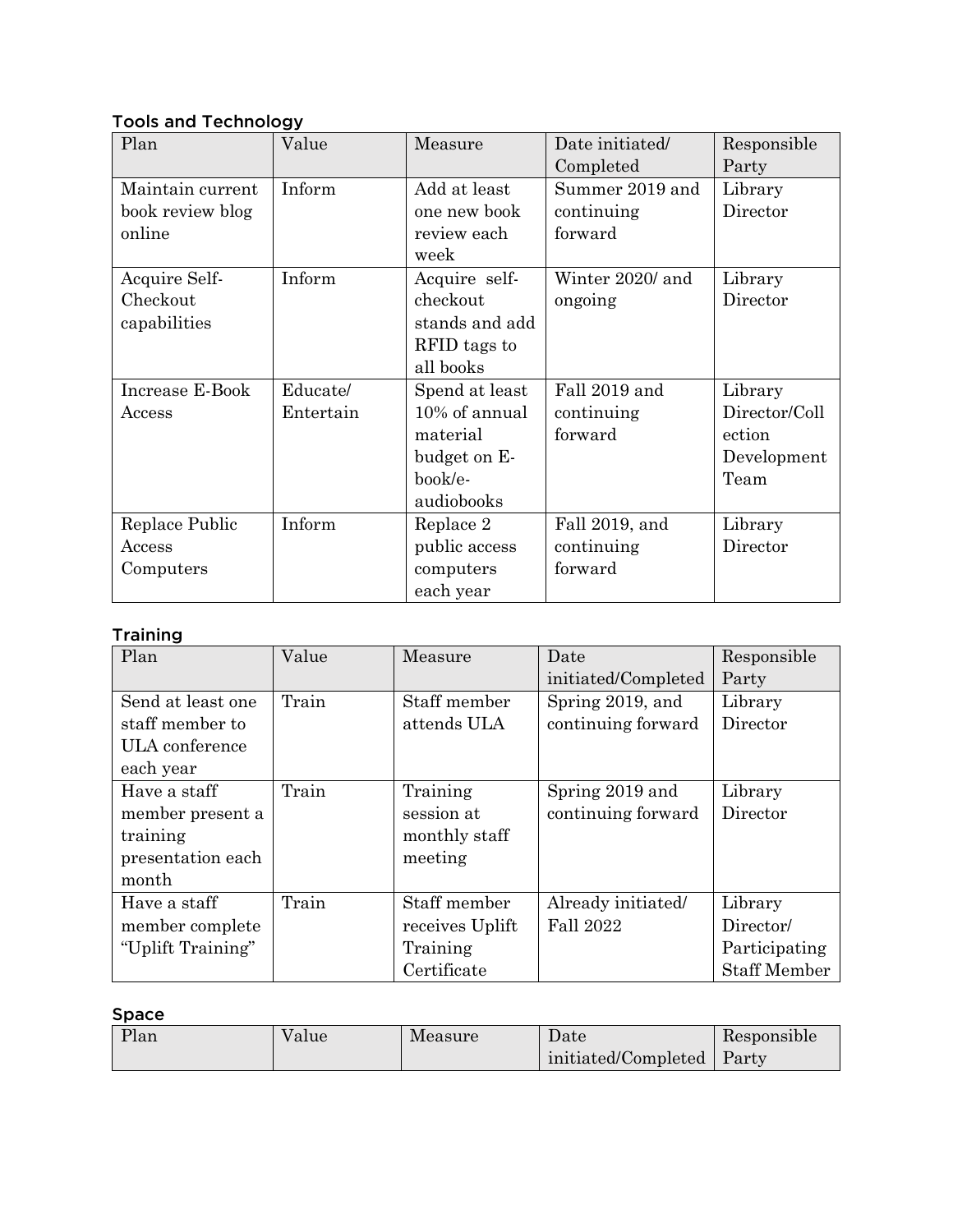## Tools and Technology

| Plan             | Value     | Measure        | Date initiated/  | Responsible   |
|------------------|-----------|----------------|------------------|---------------|
|                  |           |                | Completed        | Party         |
| Maintain current | Inform    | Add at least   | Summer 2019 and  | Library       |
| book review blog |           | one new book   | continuing       | Director      |
| online           |           | review each    | forward          |               |
|                  |           | week           |                  |               |
| Acquire Self-    | Inform    | Acquire self-  | Winter 2020/ and | Library       |
| Checkout         |           | checkout       | ongoing          | Director      |
| capabilities     |           | stands and add |                  |               |
|                  |           | RFID tags to   |                  |               |
|                  |           | all books      |                  |               |
| Increase E-Book  | Educate/  | Spend at least | Fall 2019 and    | Library       |
| Access           | Entertain | 10% of annual  | continuing       | Director/Coll |
|                  |           | material       | forward          | ection        |
|                  |           | budget on E-   |                  | Development   |
|                  |           | book/e-        |                  | Team          |
|                  |           | audiobooks     |                  |               |
| Replace Public   | Inform    | Replace 2      | Fall 2019, and   | Library       |
| Access           |           | public access  | continuing       | Director      |
| Computers        |           | computers      | forward          |               |
|                  |           | each year      |                  |               |

## **Training**

| Plan              | Value | Measure         | Date                | Responsible         |
|-------------------|-------|-----------------|---------------------|---------------------|
|                   |       |                 | initiated/Completed | Party               |
| Send at least one | Train | Staff member    | Spring 2019, and    | Library             |
| staff member to   |       | attends ULA     | continuing forward  | Director            |
| ULA conference    |       |                 |                     |                     |
| each year         |       |                 |                     |                     |
| Have a staff      | Train | Training        | Spring 2019 and     | Library             |
| member present a  |       | session at      | continuing forward  | Director            |
| training          |       | monthly staff   |                     |                     |
| presentation each |       | meeting         |                     |                     |
| month             |       |                 |                     |                     |
| Have a staff      | Train | Staff member    | Already initiated/  | Library             |
| member complete   |       | receives Uplift | <b>Fall 2022</b>    | Director/           |
| "Uplift Training" |       | Training        |                     | Participating       |
|                   |       | Certificate     |                     | <b>Staff Member</b> |

# Space

| Plan | Value | Measure | Date                | Responsible |
|------|-------|---------|---------------------|-------------|
|      |       |         | initiated/Completed | Party       |